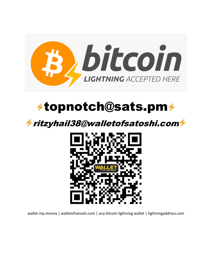

# $\neq$ topnotch@sats.pm $\neq$

## ritzyhail38@walletofsatoshi.com



wallet.mp.money | walletofsatoshi.com | any bitcoin lightning wallet | lightningaddress.com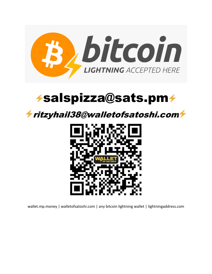

## $\rightarrow$ salspizza@sats.pm $\rightarrow$

### ritzyhail38@walletofsatoshi.com



wallet.mp.money | walletofsatoshi.com | any bitcoin lightning wallet | lightningaddress.com